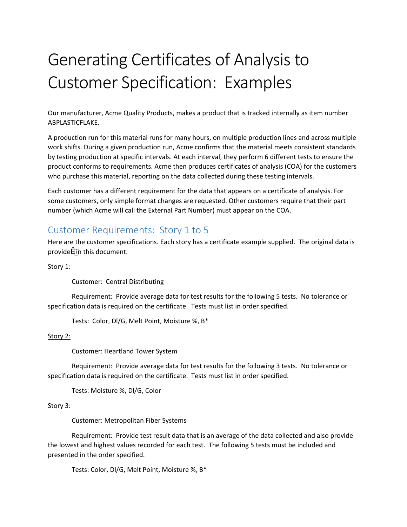# Generating Certificates of Analysis to Customer Specification: Examples

Our manufacturer, Acme Quality Products, makes a product that is tracked internally as item number ABPLASTICFLAKE.

A production run for this material runs for many hours, on multiple production lines and across multiple work shifts. During a given production run, Acme confirms that the material meets consistent standards by testing production at specific intervals. At each interval, they perform 6 different tests to ensure the product conforms to requirements. Acme then produces certificates of analysis (COA) for the customers who purchase this material, reporting on the data collected during these testing intervals.

Each customer has a different requirement for the data that appears on a certificate of analysis. For some customers, only simple format changes are requested. Other customers require that their part number (which Acme will call the External Part Number) must appear on the COA.

### Customer Requirements: Story 1 to 5

Here are the customer specifications. Each story has a certificate example supplied. The original data is provide in this document.

#### Story 1:

Customer: Central Distributing

Requirement: Provide average data for test results for the following 5 tests. No tolerance or specification data is required on the certificate. Tests must list in order specified.

Tests: Color, Dl/G, Melt Point, Moisture %, B\*

#### Story 2:

Customer: Heartland Tower System

Requirement: Provide average data for test results for the following 3 tests. No tolerance or specification data is required on the certificate. Tests must list in order specified.

Tests: Moisture %, Dl/G, Color

#### Story 3:

Customer: Metropolitan Fiber Systems

Requirement: Provide test result data that is an average of the data collected and also provide the lowest and highest values recorded for each test. The following 5 tests must be included and presented in the order specified.

Tests: Color, Dl/G, Melt Point, Moisture %, B\*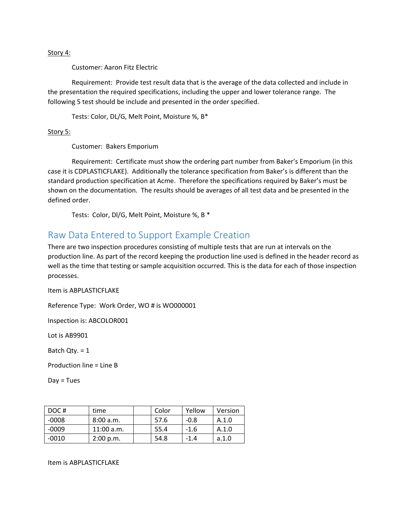#### Story 4:

Customer: Aaron Fitz Electric

Requirement: Provide test result data that is the average of the data collected and include in the presentation the required specifications, including the upper and lower tolerance range. The following 5 test should be include and presented in the order specified.

Tests: Color, DL/G, Melt Point, Moisture %, B\*

Story 5:

Customer: Bakers Emporium

Requirement: Certificate must show the ordering part number from Baker's Emporium (in this case it is CDPLASTICFLAKE). Additionally the tolerance specification from Baker's is different than the standard production specification at Acme. Therefore the specifications required by Baker's must be shown on the documentation. The results should be averages of all test data and be presented in the defined order.

Tests: Color, Dl/G, Melt Point, Moisture %, B \*

### Raw Data Entered to Support Example Creation

There are two inspection procedures consisting of multiple tests that are run at intervals on the production line. As part of the record keeping the production line used is defined in the header record as well as the time that testing or sample acquisition occurred. This is the data for each of those inspection processes.

Item is ABPLASTICFLAKE

Reference Type: Work Order, WO # is WO000001

Inspection is: ABCOLOR001

Lot is AB9901

Batch Qty. = 1

Production line = Line B

 $Day = Tuesday$ 

| DOC#    | time         | Color | Yellow | Version |
|---------|--------------|-------|--------|---------|
| $-0008$ | 8:00 a.m.    | 57.6  | $-0.8$ | A.1.0   |
| $-0009$ | $11:00$ a.m. | 55.4  | $-1.6$ | A.1.0   |
| $-0010$ | 2:00 p.m.    | 54.8  | $-1.4$ | a.1.0   |

Item is ABPLASTICFLAKE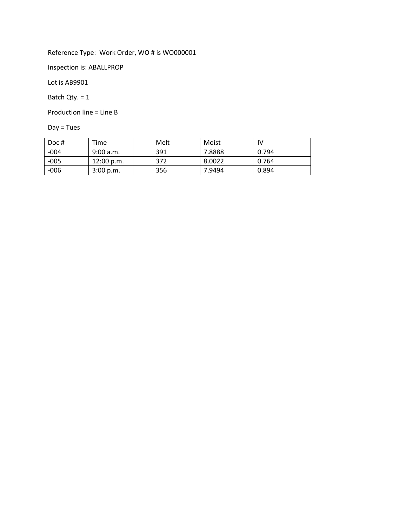Reference Type: Work Order, WO # is WO000001

Inspection is: ABALLPROP

Lot is AB9901

Batch Qty. = 1

Production line = Line B

Day = Tues

| Doc#   | Time       | Melt | Moist  | IV    |
|--------|------------|------|--------|-------|
| $-004$ | 9:00 a.m.  | 391  | 7.8888 | 0.794 |
| $-005$ | 12:00 p.m. | 372  | 8.0022 | 0.764 |
| $-006$ | 3:00 p.m.  | 356  | 7.9494 | 0.894 |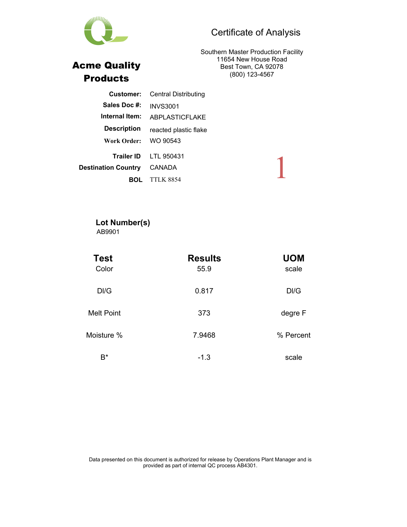# Certificate of Analysis

Southern Master Production Facility 11654 New House Road Best Town, CA 92078 (800) 123-4567

| <b>Customer:</b>           | <b>Central Distributing</b> |
|----------------------------|-----------------------------|
| Sales Doc #:               | <b>INVS3001</b>             |
| Internal Item:             | ABPLASTICFLAKE              |
| <b>Description</b>         | reacted plastic flake       |
| Work Order:                | WO 90543                    |
|                            | Trailer ID LTL 950431       |
| <b>Destination Country</b> | CANADA                      |
|                            | <b>TTLK 8854</b>            |
|                            |                             |

#### **Lot Number(s)** AB9901

| <b>Test</b><br>Color | <b>Results</b><br>55.9 | <b>UOM</b><br>scale |
|----------------------|------------------------|---------------------|
| DI/G                 | 0.817                  | DI/G                |
| <b>Melt Point</b>    | 373                    | degre F             |
| Moisture %           | 7.9468                 | % Percent           |
| $B^*$                | $-1.3$                 | scale               |



Acme Quality Products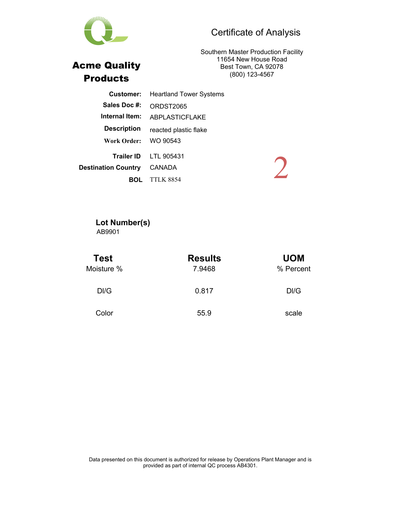# Certificate of Analysis



11654 New House Road Best Town, CA 92078 (800) 123-4567

| Customer:                  | <b>Heartland Tower Systems</b> |  |
|----------------------------|--------------------------------|--|
| Sales Doc #:               | ORDST2065                      |  |
| Internal Item:             | ABPLASTICFLAKE                 |  |
| <b>Description</b>         | reacted plastic flake          |  |
| Work Order:                | WO 90543                       |  |
|                            | Trailer ID LTL 905431          |  |
| <b>Destination Country</b> | CANADA                         |  |
|                            | <b>TTLK 8854</b>               |  |

#### **Lot Number(s)** AB9901

| Test<br>Moisture % | <b>Results</b><br>7.9468 | <b>UOM</b><br>% Percent |  |
|--------------------|--------------------------|-------------------------|--|
| DI/G               | 0.817                    | DI/G                    |  |
| Color              | 55.9                     | scale                   |  |

Data presented on this document is authorized for release by Operations Plant Manager and is provided as part of internal QC process AB4301.



Acme Quality Products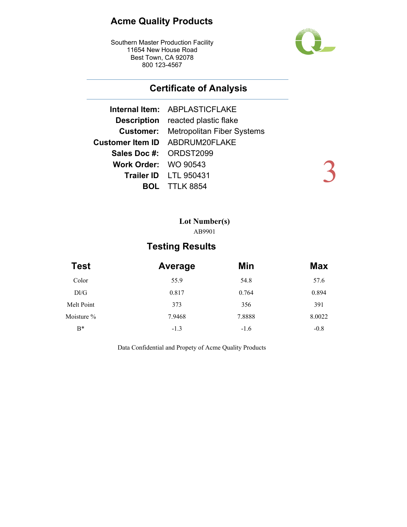# **Acme Quality Products**

Southern Master Production Facility 11654 New House Road Best Town, CA 92078 800 123-4567



3

# **Certificate of Analysis**

|                        | Internal Item: ABPLASTICFLAKE               |
|------------------------|---------------------------------------------|
|                        | <b>Description</b> reacted plastic flake    |
|                        | <b>Customer:</b> Metropolitan Fiber Systems |
|                        | Customer Item ID ABDRUM20FLAKE              |
| Sales Doc #: ORDST2099 |                                             |
| Work Order: WO 90543   |                                             |
|                        | Trailer ID LTL 950431                       |
|                        | <b>DL</b> TTLK 8854                         |

### **Lot Number(s)** AB9901

# **Testing Results**

| <b>Test</b> | Average | Min    | <b>Max</b> |  |
|-------------|---------|--------|------------|--|
| Color       | 55.9    | 54.8   | 57.6       |  |
| DI/G        | 0.817   | 0.764  | 0.894      |  |
| Melt Point  | 373     | 356    | 391        |  |
| Moisture %  | 7.9468  | 7.8888 | 8.0022     |  |
| $B^*$       | $-1.3$  | $-1.6$ | $-0.8$     |  |

Data Confidential and Propety of Acme Quality Products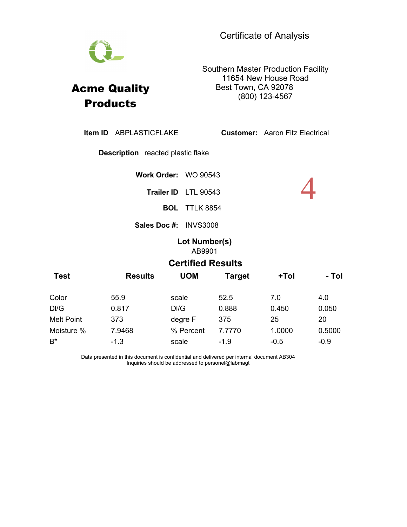Southern Master Production Facility 11654 New House Road Best Town, CA 92078 (800) 123-4567

**Sales Doc #: INVS3008** Item ID ABPLASTICFLAKE Description reacted plastic flake **Item ID** ABPLASTICFLAKE **Customer:** Aaron Fitz Electrical Trailer ID LTL 90543 **BOL** TTLK 8854 **Work Order:** WO 90543 4 **Lot Number(s)** AB9901 **Test Results UOM Target +Tol - Tol Certified Results** Color 55.9 scale 52.5 7.0 4.0 Dl/G 0.817 Dl/G 0.888 0.450 0.050 Melt Point 373 degre F 375 25 20 Moisture % 7.9468 % Percent 7.7770 1.0000 0.5000 B<sup>\*</sup> -1.3 scale -1.9 -0.5 -0.9

> Data presented in this document is confidential and delivered per internal document AB304 Inquiries should be addressed to personel@labmagt



Acme Quality **Products**